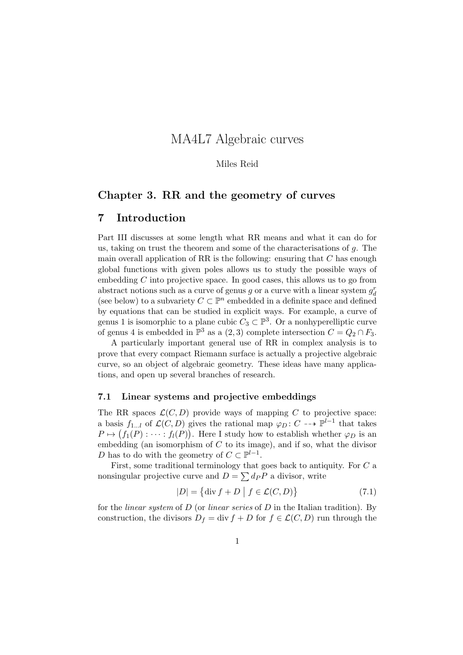# MA4L7 Algebraic curves

## Miles Reid

# Chapter 3. RR and the geometry of curves

# 7 Introduction

Part III discusses at some length what RR means and what it can do for us, taking on trust the theorem and some of the characterisations of *g*. The main overall application of RR is the following: ensuring that *C* has enough global functions with given poles allows us to study the possible ways of embedding *C* into projective space. In good cases, this allows us to go from abstract notions such as a curve of genus  $g$  or a curve with a linear system  $g_d^r$ (see below) to a subvariety  $C \subset \mathbb{P}^n$  embedded in a definite space and defined by equations that can be studied in explicit ways. For example, a curve of genus 1 is isomorphic to a plane cubic  $C_3 \subset \mathbb{P}^3$ . Or a nonhyperelliptic curve of genus 4 is embedded in  $\mathbb{P}^3$  as a  $(2,3)$  complete intersection  $C = Q_2 \cap F_3$ .

A particularly important general use of RR in complex analysis is to prove that every compact Riemann surface is actually a projective algebraic curve, so an object of algebraic geometry. These ideas have many applications, and open up several branches of research.

## 7.1 Linear systems and projective embeddings

The RR spaces  $\mathcal{L}(C, D)$  provide ways of mapping  $C$  to projective space: a basis  $f_{1...l}$  of  $\mathcal{L}(C, D)$  gives the rational map  $\varphi_D : C \dashrightarrow \mathbb{P}^{l-1}$  that takes  $P \mapsto (f_1(P) : \cdots : f_l(P))$ . Here I study how to establish whether  $\varphi_D$  is an embedding (an isomorphism of *C* to its image), and if so, what the divisor *D* has to do with the geometry of  $C \subset \mathbb{P}^{l-1}$ .

First, some traditional terminology that goes back to antiquity. For *C* a nonsingular projective curve and  $D = \sum dp P$  a divisor, write

$$
|D| = \{ \text{div } f + D \mid f \in \mathcal{L}(C, D) \}
$$
\n(7.1)

for the *linear system* of *D* (or *linear series* of *D* in the Italian tradition). By construction, the divisors  $D_f = \text{div } f + D$  for  $f \in \mathcal{L}(C, D)$  run through the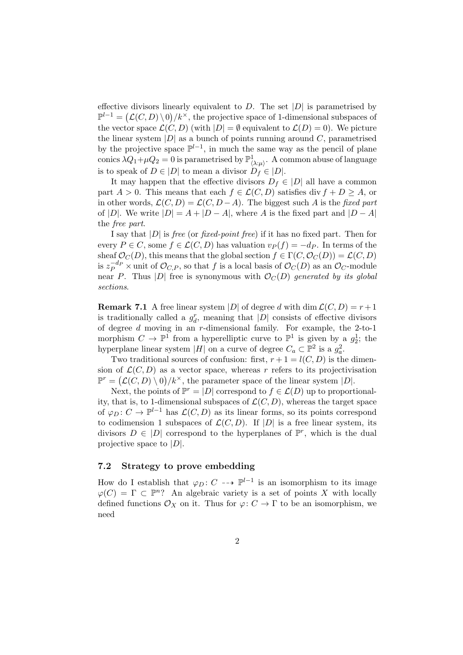effective divisors linearly equivalent to  $D$ . The set  $|D|$  is parametrised by  $\mathbb{P}^{l-1} = (\mathcal{L}(C, D) \setminus 0) / k^{\times}$ , the projective space of 1-dimensional subspaces of the vector space  $\mathcal{L}(C, D)$  (with  $|D| = \emptyset$  equivalent to  $\mathcal{L}(D) = 0$ ). We picture the linear system  $|D|$  as a bunch of points running around  $C$ , parametrised by the projective space  $\mathbb{P}^{l-1}$ , in much the same way as the pencil of plane conics  $\lambda Q_1 + \mu Q_2 = 0$  is parametrised by  $\mathbb{P}^1_{\langle \lambda: \mu \rangle}$ . A common abuse of language is to speak of  $D \in |D|$  to mean a divisor  $D_f \in |D|$ .

It may happen that the effective divisors  $D_f \in |D|$  all have a common part  $A > 0$ . This means that each  $f \in \mathcal{L}(C, D)$  satisfies div  $f + D \geq A$ , or in other words,  $\mathcal{L}(C, D) = \mathcal{L}(C, D - A)$ . The biggest such *A* is the *fixed part* of |D|. We write  $|D| = A + |D - A|$ , where *A* is the fixed part and  $|D - A|$ the *free part*.

I say that *|D|* is *free* (or *fixed-point free*) if it has no fixed part. Then for every  $P \in C$ , some  $f \in \mathcal{L}(C, D)$  has valuation  $v_P(f) = -dp$ . In terms of the sheaf  $\mathcal{O}_C(D)$ , this means that the global section  $f \in \Gamma(C, \mathcal{O}_C(D)) = \mathcal{L}(C, D)$ is  $z_P^{-d_P}$   $\times$  unit of  $\mathcal{O}_{C,P}$ , so that *f* is a local basis of  $\mathcal{O}_C(D)$  as an  $\mathcal{O}_C$ -module near *P*. Thus |*D*| free is synonymous with  $\mathcal{O}_C(D)$  generated by its global *sections*.

**Remark 7.1** A free linear system  $|D|$  of degree *d* with dim  $\mathcal{L}(C, D) = r + 1$ is traditionally called a  $g_d^r$ , meaning that  $|D|$  consists of effective divisors of degree *d* moving in an *r*-dimensional family. For example, the 2-to-1 morphism  $C \to \mathbb{P}^1$  from a hyperelliptic curve to  $\mathbb{P}^1$  is given by a  $g_2^1$ ; the hyperplane linear system  $|H|$  on a curve of degree  $C_a \subset \mathbb{P}^2$  is a  $g_a^2$ .

Two traditional sources of confusion: first,  $r + 1 = l(C, D)$  is the dimension of  $\mathcal{L}(C, D)$  as a vector space, whereas r refers to its projectivisation  $\mathbb{P}^r = (\mathcal{L}(C, D) \setminus 0) / k^{\times}$ , the parameter space of the linear system  $|D|$ .

Next, the points of  $\mathbb{P}^r = |D|$  correspond to  $f \in \mathcal{L}(D)$  up to proportionality, that is, to 1-dimensional subspaces of  $\mathcal{L}(C, D)$ , whereas the target space of  $\varphi_D: C \to \mathbb{P}^{l-1}$  has  $\mathcal{L}(C, D)$  as its linear forms, so its points correspond to codimension 1 subspaces of  $\mathcal{L}(C, D)$ . If  $|D|$  is a free linear system, its divisors  $D \in |D|$  correspond to the hyperplanes of  $\mathbb{P}^r$ , which is the dual projective space to *|D|*.

# 7.2 Strategy to prove embedding

How do I establish that  $\varphi_D: C \dashrightarrow \mathbb{P}^{l-1}$  is an isomorphism to its image  $\varphi(C) = \Gamma \subset \mathbb{P}^n$ ? An algebraic variety is a set of points *X* with locally defined functions  $\mathcal{O}_X$  on it. Thus for  $\varphi: C \to \Gamma$  to be an isomorphism, we need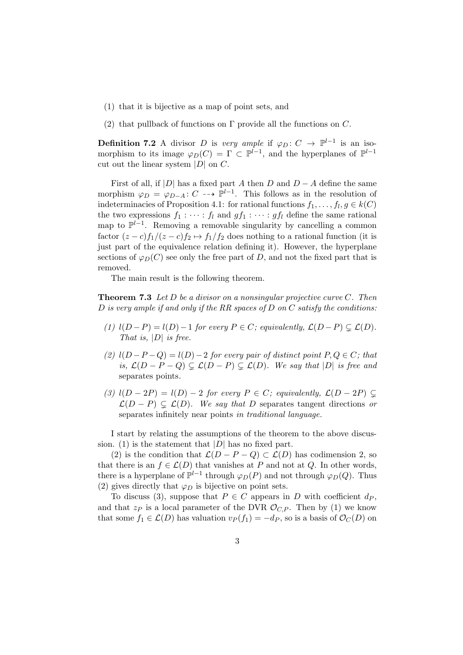- (1) that it is bijective as a map of point sets, and
- (2) that pullback of functions on  $\Gamma$  provide all the functions on  $C$ .

**Definition 7.2** A divisor *D* is *very ample* if  $\varphi_D: C \to \mathbb{P}^{l-1}$  is an isomorphism to its image  $\varphi_D(C) = \Gamma \subset \mathbb{P}^{l-1}$ , and the hyperplanes of  $\mathbb{P}^{l-1}$ cut out the linear system *|D|* on *C*.

First of all, if  $|D|$  has a fixed part *A* then *D* and  $D - A$  define the same morphism  $\varphi_D = \varphi_{D-A} : C \dashrightarrow \mathbb{P}^{l-1}$ . This follows as in the resolution of indeterminacies of Proposition 4.1: for rational functions  $f_1, \ldots, f_l, g \in k(C)$ the two expressions  $f_1 : \cdots : f_l$  and  $gf_1 : \cdots : gf_l$  define the same rational map to  $\mathbb{P}^{l-1}$ . Removing a removable singularity by cancelling a common factor  $(z - c)f_1/(z - c)f_2 \mapsto f_1/f_2$  does nothing to a rational function (it is just part of the equivalence relation defining it). However, the hyperplane sections of  $\varphi_D(C)$  see only the free part of *D*, and not the fixed part that is removed.

The main result is the following theorem.

Theorem 7.3 *Let D be a divisor on a nonsingular projective curve C. Then D is very ample if and only if the RR spaces of D on C satisfy the conditions:*

- *(1)*  $l(D-P) = l(D) 1$  *for every*  $P \in C$ *; equivalently,*  $\mathcal{L}(D-P) \subsetneq \mathcal{L}(D)$ *. That is, |D| is free.*
- (2)  $l(D-P-Q) = l(D)-2$  *for every pair of distinct point*  $P,Q \in C$ *; that is,*  $\mathcal{L}(D - P - Q) \subseteq \mathcal{L}(D - P) \subseteq \mathcal{L}(D)$ *. We say that*  $|D|$  *is free and* separates points*.*
- *(3)*  $l(D-2P) = l(D) 2$  *for every*  $P \in C$ *; equivalently,*  $\mathcal{L}(D-2P) \subsetneq$  $\mathcal{L}(D - P) \subseteq \mathcal{L}(D)$ *. We say that D* separates tangent directions *or* separates infinitely near points *in traditional language.*

I start by relating the assumptions of the theorem to the above discussion. (1) is the statement that  $|D|$  has no fixed part.

(2) is the condition that  $\mathcal{L}(D - P - Q) \subset \mathcal{L}(D)$  has codimension 2, so that there is an  $f \in \mathcal{L}(D)$  that vanishes at *P* and not at *Q*. In other words, there is a hyperplane of  $\mathbb{P}^{l-1}$  through  $\varphi_D(P)$  and not through  $\varphi_D(Q)$ . Thus (2) gives directly that  $\varphi_D$  is bijective on point sets.

To discuss (3), suppose that  $P \in C$  appears in *D* with coefficient  $d_P$ , and that  $z_P$  is a local parameter of the DVR  $\mathcal{O}_{C,P}$ . Then by (1) we know that some  $f_1 \in \mathcal{L}(D)$  has valuation  $v_P(f_1) = -d_P$ , so is a basis of  $\mathcal{O}_C(D)$  on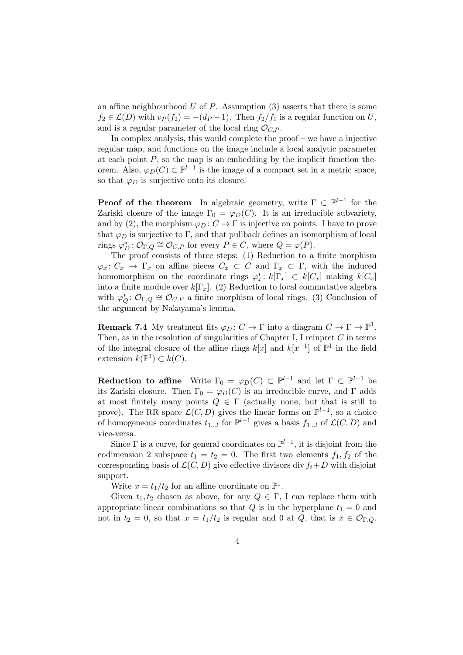an affine neighbourhood  $U$  of  $P$ . Assumption  $(3)$  asserts that there is some  $f_2 \in \mathcal{L}(D)$  with  $v_P(f_2) = -(dp-1)$ . Then  $f_2/f_1$  is a regular function on *U*, and is a regular parameter of the local ring  $\mathcal{O}_{C,P}$ .

In complex analysis, this would complete the proof – we have a injective regular map, and functions on the image include a local analytic parameter at each point  $P$ , so the map is an embedding by the implicit function theorem. Also,  $\varphi_D(C) \subset \mathbb{P}^{l-1}$  is the image of a compact set in a metric space, so that  $\varphi_D$  is surjective onto its closure.

**Proof of the theorem** In algebraic geometry, write  $\Gamma \subset \mathbb{P}^{l-1}$  for the Zariski closure of the image  $\Gamma_0 = \varphi_D(C)$ . It is an irreducible subvariety, and by (2), the morphism  $\varphi_D : C \to \Gamma$  is injective on points. I have to prove that  $\varphi_D$  is surjective to  $\Gamma$ , and that pullback defines an isomorphism of local rings  $\varphi_D^*$ :  $\mathcal{O}_{\Gamma,Q} \cong \mathcal{O}_{C,P}$  for every  $P \in C$ , where  $Q = \varphi(P)$ .

The proof consists of three steps: (1) Reduction to a finite morphism  $\varphi_x: C_x \to \Gamma_x$  on affine pieces  $C_x \subset C$  and  $\Gamma_x \subset \Gamma$ , with the induced homomorphism on the coordinate rings  $\varphi_x^*$ :  $k[\Gamma_x] \subset k[C_x]$  making  $k[C_x]$ into a finite module over  $k[\Gamma_x]$ . (2) Reduction to local commutative algebra with  $\varphi_Q^* : \mathcal{O}_{\Gamma,Q} \cong \mathcal{O}_{C,P}$  a finite morphism of local rings. (3) Conclusion of the argument by Nakayama's lemma.

**Remark 7.4** My treatment fits  $\varphi_D : C \to \Gamma$  into a diagram  $C \to \Gamma \to \mathbb{P}^1$ . Then, as in the resolution of singularities of Chapter I, I reinpret *C* in terms of the integral closure of the affine rings  $k[x]$  and  $k[x^{-1}]$  of  $\mathbb{P}^1$  in the field extension  $k(\mathbb{P}^1) \subset k(C)$ .

**Reduction to affine** Write  $\Gamma_0 = \varphi_D(C) \subset \mathbb{P}^{l-1}$  and let  $\Gamma \subset \mathbb{P}^{l-1}$  be its Zariski closure. Then  $\Gamma_0 = \varphi_D(C)$  is an irreducible curve, and  $\Gamma$  adds at most finitely many points  $Q \in \Gamma$  (actually none, but that is still to prove). The RR space  $\mathcal{L}(C, D)$  gives the linear forms on  $\mathbb{P}^{l-1}$ , so a choice of homogeneous coordinates  $t_{1}$ , for  $\mathbb{P}^{l-1}$  gives a basis  $f_{1}$ , of  $\mathcal{L}(C, D)$  and vice-versa.

Since  $\Gamma$  is a curve, for general coordinates on  $\mathbb{P}^{l-1}$ , it is disjoint from the codimension 2 subspace  $t_1 = t_2 = 0$ . The first two elements  $f_1, f_2$  of the corresponding basis of  $\mathcal{L}(C, D)$  give effective divisors div  $f_i + D$  with disjoint support.

Write  $x = t_1/t_2$  for an affine coordinate on  $\mathbb{P}^1$ .

Given  $t_1, t_2$  chosen as above, for any  $Q \in \Gamma$ , I can replace them with appropriate linear combinations so that  $Q$  is in the hyperplane  $t_1 = 0$  and not in  $t_2 = 0$ , so that  $x = t_1/t_2$  is regular and 0 at *Q*, that is  $x \in \mathcal{O}_{\Gamma,Q}$ .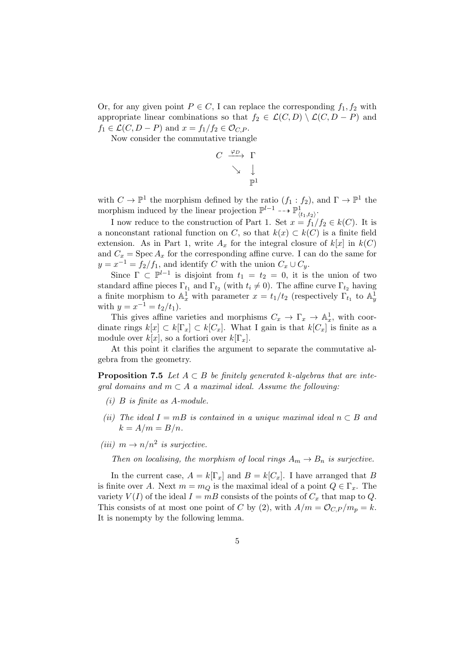Or, for any given point  $P \in C$ , I can replace the corresponding  $f_1, f_2$  with appropriate linear combinations so that  $f_2 \in \mathcal{L}(C, D) \setminus \mathcal{L}(C, D - P)$  and  $f_1 \in \mathcal{L}(C, D - P)$  and  $x = f_1/f_2 \in \mathcal{O}_{C,P}$ .

Now consider the commutative triangle

$$
\begin{array}{ccc}\nC & \xrightarrow{\varphi_D} & \Gamma \\
& \searrow & \downarrow \\
& \searrow & \downarrow \\
& & \mathbb{P}^1\n\end{array}
$$

with  $C \to \mathbb{P}^1$  the morphism defined by the ratio  $(f_1 : f_2)$ , and  $\Gamma \to \mathbb{P}^1$  the morphism induced by the linear projection  $\mathbb{P}^{l-1} \dashrightarrow \mathbb{P}^1_{(t_1,t_2)}$ .

I now reduce to the construction of Part 1. Set  $x = f_1/f_2 \in k(C)$ . It is a nonconstant rational function on *C*, so that  $k(x) \subset k(C)$  is a finite field extension. As in Part 1, write  $A_x$  for the integral closure of  $k[x]$  in  $k(C)$ and  $C_x$  = Spec  $A_x$  for the corresponding affine curve. I can do the same for  $y = x^{-1} = f_2/f_1$ , and identify *C* with the union  $C_x \cup C_y$ .

Since  $\Gamma \subset \mathbb{P}^{l-1}$  is disjoint from  $t_1 = t_2 = 0$ , it is the union of two standard affine pieces  $\Gamma_{t_1}$  and  $\Gamma_{t_2}$  (with  $t_i \neq 0$ ). The affine curve  $\Gamma_{t_2}$  having a finite morphism to  $\mathbb{A}_x^1$  with parameter  $x = t_1/t_2$  (respectively  $\Gamma_{t_1}$  to  $\mathbb{A}_y^1$  with  $y = x^{-1} = t_2/t_1$ ).

This gives affine varieties and morphisms  $C_x \to \Gamma_x \to \mathbb{A}^1_x$ , with coordinate rings  $k[x] \subset k[\Gamma_x] \subset k[C_x]$ . What I gain is that  $k[C_x]$  is finite as a module over  $k[x]$ , so a fortiori over  $k[\Gamma_x]$ .

At this point it clarifies the argument to separate the commutative algebra from the geometry.

**Proposition 7.5** *Let*  $A \subset B$  *be finitely generated k*-algebras that are inte*gral domains and*  $m \subset A$  *a maximal ideal. Assume the following:* 

- *(i) B is finite as A-module.*
- *(ii)* The ideal  $I = mB$  *is contained in a unique maximal ideal*  $n \subset B$  *and*  $k = A/m = B/n$ .
- *(iii)*  $m \rightarrow n/n^2$  *is surjective.*

*Then on localising, the morphism of local rings*  $A_m \to B_n$  *is surjective.* 

In the current case,  $A = k[\Gamma_x]$  and  $B = k[C_x]$ . I have arranged that *B* is finite over *A*. Next  $m = m_Q$  is the maximal ideal of a point  $Q \in \Gamma_x$ . The variety  $V(I)$  of the ideal  $I = mB$  consists of the points of  $C_x$  that map to  $Q$ . This consists of at most one point of *C* by (2), with  $A/m = \mathcal{O}_{C,P}/m_p = k$ . It is nonempty by the following lemma.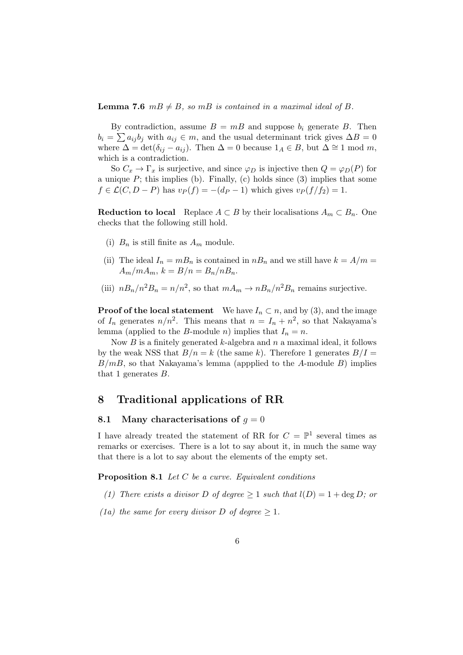**Lemma 7.6**  $m \cancel{B} \neq \cancel{B}$ , so  $m \cancel{B}$  is contained in a maximal ideal of  $\cancel{B}$ .

By contradiction, assume  $B = mB$  and suppose  $b_i$  generate B. Then  $b_i = \sum a_{ij} b_j$  with  $a_{ij} \in m$ , and the usual determinant trick gives  $\Delta B = 0$ where  $\Delta = \det(\delta_{ij} - a_{ij})$ . Then  $\Delta = 0$  because  $1_A \in B$ , but  $\Delta \cong 1 \text{ mod } m$ , which is a contradiction.

So  $C_x \to \Gamma_x$  is surjective, and since  $\varphi_D$  is injective then  $Q = \varphi_D(P)$  for a unique  $P$ ; this implies (b). Finally, (c) holds since (3) implies that some  $f \in \mathcal{L}(C, D - P)$  has  $v_P(f) = -(dp - 1)$  which gives  $v_P(f/f_2) = 1$ .

**Reduction to local** Replace  $A \subset B$  by their localisations  $A_m \subset B_n$ . One checks that the following still hold.

- (i)  $B_n$  is still finite as  $A_m$  module.
- (ii) The ideal  $I_n = mB_n$  is contained in  $nB_n$  and we still have  $k = A/m =$  $A_m/mA_m$ ,  $k = B/n = B_n/nB_n$ .
- (iii)  $nB_n/n^2B_n = n/n^2$ , so that  $mA_m \to nB_n/n^2B_n$  remains surjective.

**Proof of the local statement** We have  $I_n \subset n$ , and by (3), and the image of  $I_n$  generates  $n/n^2$ . This means that  $n = I_n + n^2$ , so that Nakayama's lemma (applied to the *B*-module *n*) implies that  $I_n = n$ .

Now *B* is a finitely generated *k*-algebra and *n* a maximal ideal, it follows by the weak NSS that  $B/n = k$  (the same k). Therefore 1 generates  $B/I =$ *B/mB*, so that Nakayama's lemma (appplied to the *A*-module *B*) implies that 1 generates *B*.

# 8 Traditional applications of RR

## 8.1 Many characterisations of  $g = 0$

I have already treated the statement of RR for  $C = \mathbb{P}^1$  several times as remarks or exercises. There is a lot to say about it, in much the same way that there is a lot to say about the elements of the empty set.

Proposition 8.1 *Let C be a curve. Equivalent conditions*

- *(1)* There exists a divisor D of degree  $> 1$  such that  $l(D) = 1 + \deg D$ ; or
- *(1a) the same for every divisor D of degree*  $\geq 1$ *.*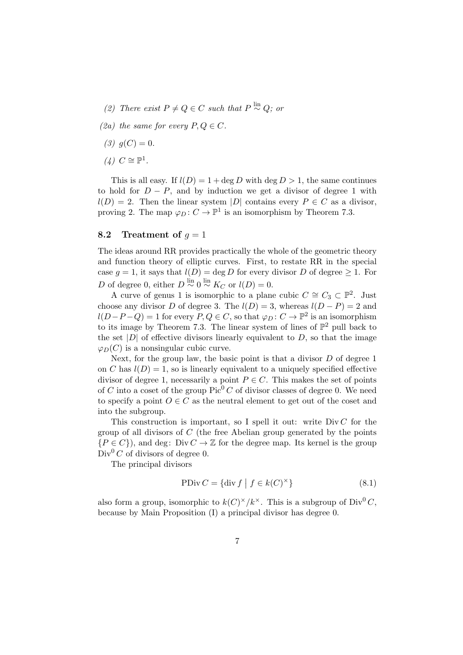- *(2)* There exist  $P \neq Q \in C$  such that  $P \stackrel{\text{lin}}{\sim} Q$ ; or
- *(2a)* the same for every  $P, Q \in C$ .
- $(3)$   $q(C)=0$ .
- $(4)$   $C \cong \mathbb{P}^1$ .

This is all easy. If  $l(D) = 1 + \deg D$  with  $\deg D > 1$ , the same continues to hold for  $D - P$ , and by induction we get a divisor of degree 1 with  $l(D) = 2$ . Then the linear system *|D|* contains every  $P \in C$  as a divisor, proving 2. The map  $\varphi_D : C \to \mathbb{P}^1$  is an isomorphism by Theorem 7.3.

## 8.2 Treatment of  $q = 1$

The ideas around RR provides practically the whole of the geometric theory and function theory of elliptic curves. First, to restate RR in the special case  $q = 1$ , it says that  $l(D) = \deg D$  for every divisor *D* of degree  $\geq 1$ . For *D* of degree 0, either  $D \stackrel{\text{lin}}{\sim} 0 \stackrel{\text{lin}}{\sim} K_C$  or  $l(D) = 0$ .

A curve of genus 1 is isomorphic to a plane cubic  $C \cong C_3 \subset \mathbb{P}^2$ . Just choose any divisor *D* of degree 3. The  $l(D) = 3$ , whereas  $l(D - P) = 2$  and  $l(D-P-Q) = 1$  for every  $P,Q \in C$ , so that  $\varphi_D : C \to \mathbb{P}^2$  is an isomorphism to its image by Theorem 7.3. The linear system of lines of  $\mathbb{P}^2$  pull back to the set  $|D|$  of effective divisors linearly equivalent to  $D$ , so that the image  $\varphi_D(C)$  is a nonsingular cubic curve.

Next, for the group law, the basic point is that a divisor *D* of degree 1 on *C* has  $l(D) = 1$ , so is linearly equivalent to a uniquely specified effective divisor of degree 1, necessarily a point  $P \in C$ . This makes the set of points of *C* into a coset of the group  $Pic^0 C$  of divisor classes of degree 0. We need to specify a point  $O \in \mathbb{C}$  as the neutral element to get out of the coset and into the subgroup.

This construction is important, so I spell it out: write Div *C* for the group of all divisors of *C* (the free Abelian group generated by the points  ${P \in C}$ , and deg: Div  $C \to \mathbb{Z}$  for the degree map. Its kernel is the group  $Div<sup>0</sup> C$  of divisors of degree 0.

The principal divisors

$$
PDiv C = \{ \text{div } f \mid f \in k(C)^{\times} \}
$$
\n(8.1)

also form a group, isomorphic to  $k(C)^{\times}/k^{\times}$ . This is a subgroup of Div<sup>0</sup> *C*, because by Main Proposition (I) a principal divisor has degree 0.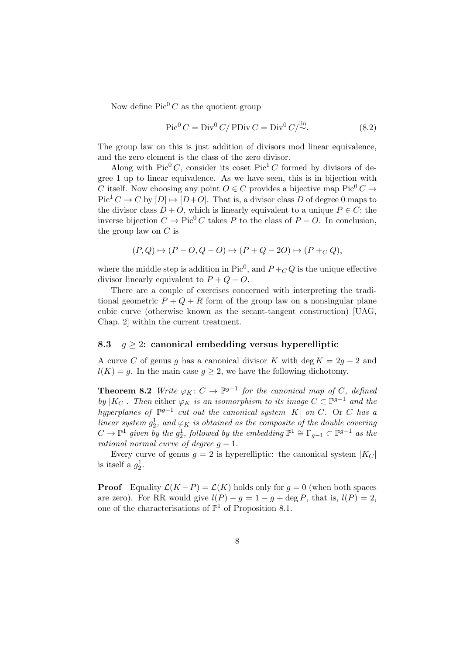Now define  $Pic^{0} C$  as the quotient group

$$
\operatorname{Pic}^0 C = \operatorname{Div}^0 C / \operatorname{PDiv} C = \operatorname{Div}^0 C / \stackrel{\text{lin}}{\sim}.
$$
 (8.2)

The group law on this is just addition of divisors mod linear equivalence, and the zero element is the class of the zero divisor.

Along with Pic<sup>0</sup> *C*, consider its coset Pic<sup>1</sup> *C* formed by divisors of degree 1 up to linear equivalence. As we have seen, this is in bijection with *C* itself. Now choosing any point  $O \in C$  provides a bijective map Pic<sup>0</sup>  $C \rightarrow$  $Pic<sup>1</sup> C \rightarrow C$  by  $[D] \mapsto [D+O]$ . That is, a divisor class *D* of degree 0 maps to the divisor class  $D + O$ , which is linearly equivalent to a unique  $P \in C$ ; the inverse bijection  $C \to Pic^{0} C$  takes *P* to the class of  $P - O$ . In conclusion, the group law on *C* is

$$
(P,Q)\mapsto (P-O,Q-O)\mapsto (P+Q-2O)\mapsto (P+C,Q),
$$

where the middle step is addition in Pic<sup>0</sup>, and  $P + CQ$  is the unique effective divisor linearly equivalent to  $P + Q - O$ .

There are a couple of exercises concerned with interpreting the traditional geometric  $P + Q + R$  form of the group law on a nonsingular plane cubic curve (otherwise known as the secant-tangent construction) [UAG, Chap. 2] within the current treatment.

# 8.3  $g \geq 2$ : canonical embedding versus hyperelliptic

A curve *C* of genus *g* has a canonical divisor *K* with deg  $K = 2g - 2$  and  $l(K) = g$ . In the main case  $g \geq 2$ , we have the following dichotomy.

**Theorem 8.2** *Write*  $\varphi_K : C \to \mathbb{P}^{g-1}$  *for the canonical map of C, defined by*  $|K_C|$ *. Then* either  $\varphi_K$  *is an isomorphism to its image*  $C \subset \mathbb{P}^{g-1}$  *and the hyperplanes of*  $\mathbb{P}^{g-1}$  *cut out the canonical system*  $|K|$  *on C.* Or *C has a linear system*  $g_2^1$ , and  $\varphi_K$  *is obtained as the composite of the double covering*  $C \to \mathbb{P}^1$  given by the  $g_2^1$ , followed by the embedding  $\mathbb{P}^1 \cong \Gamma_{g-1} \subset \mathbb{P}^{g-1}$  as the *rational normal curve of degree*  $g - 1$ *.* 

Every curve of genus  $q = 2$  is hyperelliptic: the canonical system  $|K_C|$ is itself a  $g_2^1$ .

**Proof** Equality  $\mathcal{L}(K - P) = \mathcal{L}(K)$  holds only for  $g = 0$  (when both spaces are zero). For RR would give  $l(P) - g = 1 - g + \deg P$ , that is,  $l(P) = 2$ , one of the characterisations of  $\mathbb{P}^1$  of Proposition 8.1.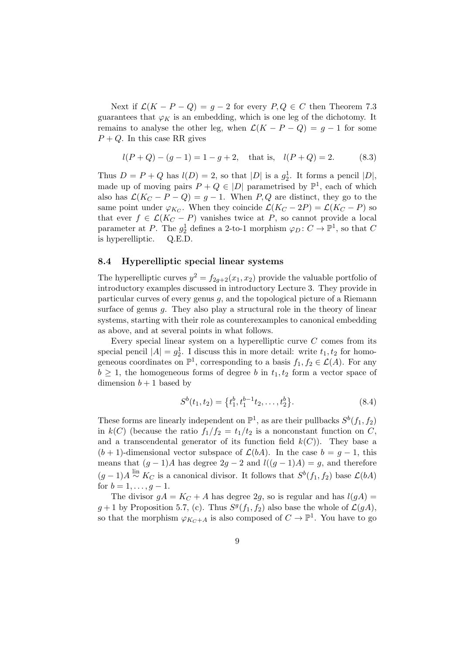Next if  $\mathcal{L}(K - P - Q) = g - 2$  for every  $P, Q \in C$  then Theorem 7.3 guarantees that  $\varphi_K$  is an embedding, which is one leg of the dichotomy. It remains to analyse the other leg, when  $\mathcal{L}(K - P - Q) = g - 1$  for some  $P + Q$ . In this case RR gives

$$
l(P+Q) - (g-1) = 1 - g + 2
$$
, that is,  $l(P+Q) = 2$ . (8.3)

Thus  $D = P + Q$  has  $l(D) = 2$ , so that  $|D|$  is a  $g_2^1$ . It forms a pencil  $|D|$ , made up of moving pairs  $P + Q \in |D|$  parametrised by  $\mathbb{P}^1$ , each of which also has  $\mathcal{L}(K_C - P - Q) = g - 1$ . When *P*, *Q* are distinct, they go to the same point under  $\varphi_{K_C}$ . When they coincide  $\mathcal{L}(K_C - 2P) = \mathcal{L}(K_C - P)$  so that ever  $f \in \mathcal{L}(K_C - P)$  vanishes twice at P, so cannot provide a local parameter at *P*. The  $g_2^1$  defines a 2-to-1 morphism  $\varphi_D : C \to \mathbb{P}^1$ , so that *C* is hyperelliptic. Q.E.D.

## 8.4 Hyperelliptic special linear systems

The hyperelliptic curves  $y^2 = f_{2q+2}(x_1, x_2)$  provide the valuable portfolio of introductory examples discussed in introductory Lecture 3. They provide in particular curves of every genus *g*, and the topological picture of a Riemann surface of genus *g*. They also play a structural role in the theory of linear systems, starting with their role as counterexamples to canonical embedding as above, and at several points in what follows.

Every special linear system on a hyperelliptic curve *C* comes from its special pencil  $|A| = g_2^1$ . I discuss this in more detail: write  $t_1, t_2$  for homogeneous coordinates on  $\mathbb{P}^1$ , corresponding to a basis  $f_1, f_2 \in \mathcal{L}(A)$ . For any  $b \geq 1$ , the homogeneous forms of degree *b* in  $t_1, t_2$  form a vector space of dimension  $b + 1$  based by

$$
S^{b}(t_1, t_2) = \left\{ t_1^{b}, t_1^{b-1} t_2, \dots, t_2^{b} \right\}.
$$
 (8.4)

These forms are linearly independent on  $\mathbb{P}^1$ , as are their pullbacks  $S^b(f_1, f_2)$ in  $k(C)$  (because the ratio  $f_1/f_2 = t_1/t_2$  is a nonconstant function on *C*, and a transcendental generator of its function field  $k(C)$ ). They base a  $(b+1)$ -dimensional vector subspace of  $\mathcal{L}(bA)$ . In the case  $b = q-1$ , this means that  $(g-1)A$  has degree  $2g-2$  and  $l((g-1)A) = g$ , and therefore  $(g-1)A \stackrel{\text{lin}}{\sim} K_C$  is a canonical divisor. It follows that  $S^b(f_1, f_2)$  base  $\mathcal{L}(bA)$ for  $b = 1, \ldots, q - 1$ .

The divisor  $gA = K_C + A$  has degree 2g, so is regular and has  $l(gA)$  =  $g+1$  by Proposition 5.7, (c). Thus  $S<sup>g</sup>(f_1, f_2)$  also base the whole of  $\mathcal{L}(gA)$ , so that the morphism  $\varphi_{K_C+A}$  is also composed of  $C \to \mathbb{P}^1$ . You have to go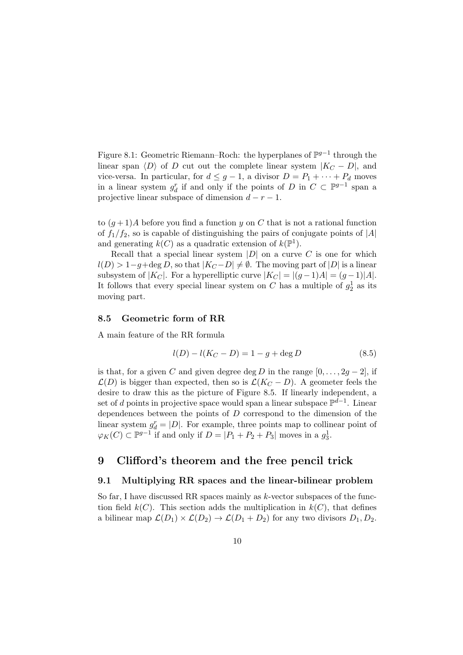Figure 8.1: Geometric Riemann–Roch: the hyperplanes of  $\mathbb{P}^{g-1}$  through the linear span  $\langle D \rangle$  of *D* cut out the complete linear system  $|K_C - D|$ , and vice-versa. In particular, for  $d \leq g - 1$ , a divisor  $D = P_1 + \cdots + P_d$  moves in a linear system  $g_d^r$  if and only if the points of *D* in  $C \subset \mathbb{P}^{g-1}$  span a projective linear subspace of dimension  $d - r - 1$ .

to  $(g+1)A$  before you find a function *y* on *C* that is not a rational function of  $f_1/f_2$ , so is capable of distinguishing the pairs of conjugate points of  $|A|$ and generating  $k(C)$  as a quadratic extension of  $k(\mathbb{P}^1)$ .

Recall that a special linear system  $|D|$  on a curve  $C$  is one for which  $l(D) > 1-g + \deg D$ , so that  $|K_C - D| \neq \emptyset$ . The moving part of  $|D|$  is a linear subsystem of  $|K_C|$ . For a hyperelliptic curve  $|K_C| = |(g-1)A| = (g-1)|A|$ . It follows that every special linear system on  $C$  has a multiple of  $g_2^1$  as its moving part.

# 8.5 Geometric form of RR

A main feature of the RR formula

$$
l(D) - l(K_C - D) = 1 - g + \deg D \tag{8.5}
$$

is that, for a given *C* and given degree deg *D* in the range  $[0, \ldots, 2q-2]$ , if  $\mathcal{L}(D)$  is bigger than expected, then so is  $\mathcal{L}(K_C - D)$ . A geometer feels the desire to draw this as the picture of Figure 8.5. If linearly independent, a set of *d* points in projective space would span a linear subspace  $\mathbb{P}^{d-1}$ . Linear dependences between the points of *D* correspond to the dimension of the linear system  $g_d^r = |D|$ . For example, three points map to collinear point of  $\varphi_K(C) \subset \mathbb{P}^{g-1}$  if and only if  $D = |P_1 + P_2 + P_3|$  moves in a  $g_3^1$ .

# 9 Clifford's theorem and the free pencil trick

## 9.1 Multiplying RR spaces and the linear-bilinear problem

So far, I have discussed RR spaces mainly as *k*-vector subspaces of the function field  $k(C)$ . This section adds the multiplication in  $k(C)$ , that defines a bilinear map  $\mathcal{L}(D_1) \times \mathcal{L}(D_2) \to \mathcal{L}(D_1 + D_2)$  for any two divisors  $D_1, D_2$ .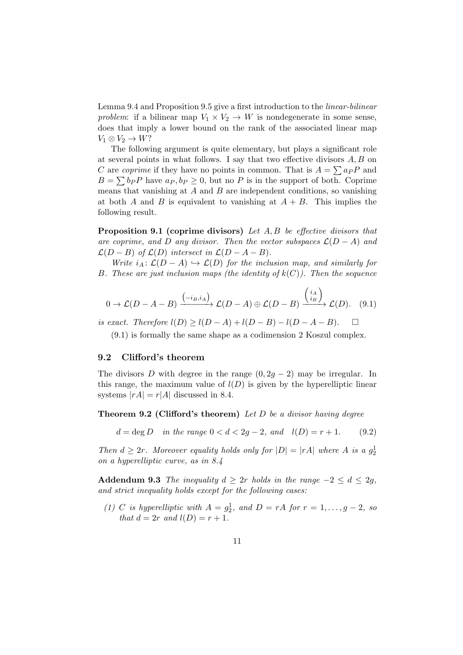Lemma 9.4 and Proposition 9.5 give a first introduction to the *linear-bilinear problem*: if a bilinear map  $V_1 \times V_2 \to W$  is nondegenerate in some sense, does that imply a lower bound on the rank of the associated linear map  $V_1 \otimes V_2 \rightarrow W$ ?

The following argument is quite elementary, but plays a significant role at several points in what follows. I say that two effective divisors  $A, B$  on *C* are *coprime* if they have no points in common. That is  $A = \sum a_P P$  and  $B = \sum b_P P$  have  $a_P, b_P \geq 0$ , but no *P* is in the support of both. Coprime means that vanishing at *A* and *B* are independent conditions, so vanishing at both *A* and *B* is equivalent to vanishing at  $A + B$ . This implies the following result.

**Proposition 9.1 (coprime divisors)** Let A, B be effective divisors that are coprime, and D any divisor. Then the vector subspaces  $\mathcal{L}(D - A)$  and  $\mathcal{L}(D - B)$  *of*  $\mathcal{L}(D)$  *intersect in*  $\mathcal{L}(D - A - B)$ *.* 

*Write*  $i_A: \mathcal{L}(D - A) \hookrightarrow \mathcal{L}(D)$  *for the inclusion map, and similarly for B. These are just inclusion maps (the identity of*  $k(C)$ *). Then the sequence* 

$$
0 \to \mathcal{L}(D-A-B) \xrightarrow{\binom{-i_B, i_A}{}} \mathcal{L}(D-A) \oplus \mathcal{L}(D-B) \xrightarrow{\binom{i_A}{i_B}} \mathcal{L}(D). \quad (9.1)
$$

*is exact. Therefore*  $l(D) \ge l(D - A) + l(D - B) - l(D - A - B)$ .  $\Box$ 

(9.1) is formally the same shape as a codimension 2 Koszul complex.

#### 9.2 Clifford's theorem

The divisors *D* with degree in the range  $(0, 2g - 2)$  may be irregular. In this range, the maximum value of  $l(D)$  is given by the hyperelliptic linear systems  $|rA| = r|A|$  discussed in 8.4.

**Theorem 9.2 (Clifford's theorem)** Let D be a divisor having degree

 $d = \deg D$  *in the range*  $0 < d < 2q - 2$ *, and*  $l(D) = r + 1$ . (9.2)

*Then*  $d \geq 2r$ *. Moreover equality holds only for*  $|D| = |rA|$  *where A is a*  $g_2^1$ *on a hyperelliptic curve, as in 8.4*

Addendum 9.3 *The inequality*  $d \geq 2r$  *holds in the range*  $-2 \leq d \leq 2g$ , *and strict inequality holds except for the following cases:*

(1) *C* is hyperelliptic with  $A = g_2^1$ , and  $D = rA$  for  $r = 1, ..., g - 2$ , so *that*  $d = 2r$  *and*  $l(D) = r + 1$ *.*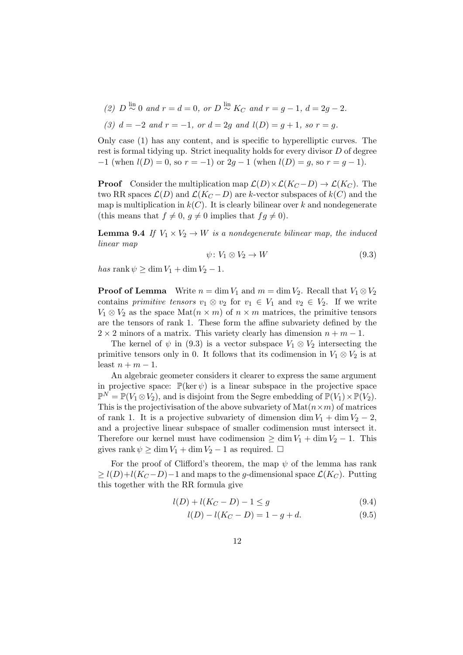- (2)  $D \stackrel{\text{lin}}{\sim} 0$  and  $r = d = 0$ , or  $D \stackrel{\text{lin}}{\sim} K_C$  and  $r = g 1$ ,  $d = 2g 2$ .
- *(3)*  $d = -2$  and  $r = -1$ , or  $d = 2q$  and  $l(D) = q + 1$ , so  $r = q$ .

Only case (1) has any content, and is specific to hyperelliptic curves. The rest is formal tidying up. Strict inequality holds for every divisor *D* of degree  $-1$  (when  $l(D) = 0$ , so  $r = -1$ ) or  $2g - 1$  (when  $l(D) = g$ , so  $r = g - 1$ ).

**Proof** Consider the multiplication map  $\mathcal{L}(D) \times \mathcal{L}(K_C - D) \to \mathcal{L}(K_C)$ . The two RR spaces  $\mathcal{L}(D)$  and  $\mathcal{L}(K_C - D)$  are *k*-vector subspaces of  $k(C)$  and the map is multiplication in  $k(C)$ . It is clearly bilinear over k and nondegenerate (this means that  $f \neq 0$ ,  $g \neq 0$  implies that  $fg \neq 0$ ).

**Lemma 9.4** If  $V_1 \times V_2 \rightarrow W$  *is a nondegenerate bilinear map, the induced linear map*

$$
\psi \colon V_1 \otimes V_2 \to W \tag{9.3}
$$

 $has$  rank  $\psi \geq \dim V_1 + \dim V_2 - 1$ .

**Proof of Lemma** Write  $n = \dim V_1$  and  $m = \dim V_2$ . Recall that  $V_1 \otimes V_2$ contains *primitive tensors*  $v_1 \otimes v_2$  for  $v_1 \in V_1$  and  $v_2 \in V_2$ . If we write  $V_1 \otimes V_2$  as the space  $\text{Mat}(n \times m)$  of  $n \times m$  matrices, the primitive tensors are the tensors of rank 1. These form the affine subvariety defined by the  $2 \times 2$  minors of a matrix. This variety clearly has dimension  $n + m - 1$ .

The kernel of  $\psi$  in (9.3) is a vector subspace  $V_1 \otimes V_2$  intersecting the primitive tensors only in 0. It follows that its codimension in  $V_1 \otimes V_2$  is at least  $n + m - 1$ .

An algebraic geometer considers it clearer to express the same argument in projective space:  $\mathbb{P}(\ker \psi)$  is a linear subspace in the projective space  $\mathbb{P}^N = \mathbb{P}(V_1 \otimes V_2)$ , and is disjoint from the Segre embedding of  $\mathbb{P}(V_1) \times \mathbb{P}(V_2)$ . This is the projectivisation of the above subvariety of  $\text{Mat}(n \times m)$  of matrices of rank 1. It is a projective subvariety of dimension dim  $V_1 + \dim V_2 - 2$ , and a projective linear subspace of smaller codimension must intersect it. Therefore our kernel must have codimension  $\geq \dim V_1 + \dim V_2 - 1$ . This gives rank  $\psi \geq \dim V_1 + \dim V_2 - 1$  as required.  $\Box$ 

For the proof of Clifford's theorem, the map  $\psi$  of the lemma has rank  $\geq l(D)+l(K_C-D)-1$  and maps to the *g*-dimensional space  $\mathcal{L}(K_C)$ . Putting this together with the RR formula give

$$
l(D) + l(K_C - D) - 1 \le g \tag{9.4}
$$

$$
l(D) - l(K_C - D) = 1 - g + d. \tag{9.5}
$$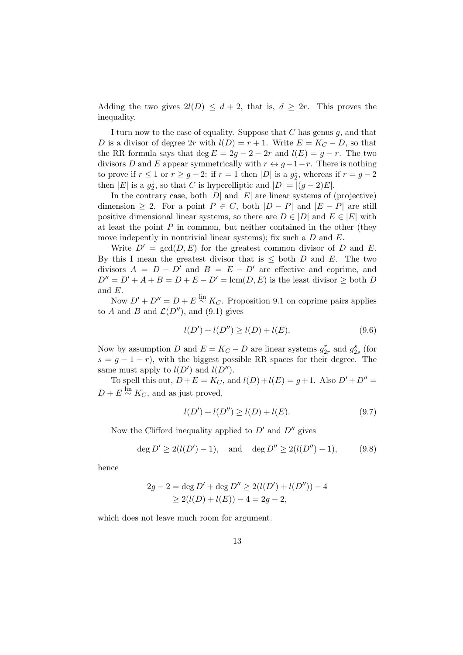Adding the two gives  $2l(D) \leq d+2$ , that is,  $d \geq 2r$ . This proves the inequality.

I turn now to the case of equality. Suppose that *C* has genus *g*, and that *D* is a divisor of degree 2*r* with  $l(D) = r + 1$ . Write  $E = K_C - D$ , so that the RR formula says that deg  $E = 2g - 2 - 2r$  and  $l(E) = g - r$ . The two divisors *D* and *E* appear symmetrically with  $r \leftrightarrow g-1-r$ . There is nothing to prove if  $r \le 1$  or  $r \ge g - 2$ : if  $r = 1$  then  $|D|$  is a  $g_2^1$ , whereas if  $r = g - 2$ then  $|E|$  is a  $g_2^1$ , so that *C* is hyperelliptic and  $|D| = |(g-2)E|$ .

In the contrary case, both  $|D|$  and  $|E|$  are linear systems of (projective) dimension  $\geq 2$ . For a point  $P \in C$ , both  $|D - P|$  and  $|E - P|$  are still positive dimensional linear systems, so there are  $D \in |D|$  and  $E \in |E|$  with at least the point *P* in common, but neither contained in the other (they move indepently in nontrivial linear systems); fix such a *D* and *E*.

Write  $D' = \text{gcd}(D, E)$  for the greatest common divisor of *D* and *E*. By this I mean the greatest divisor that is  $\leq$  both *D* and *E*. The two divisors  $A = D - D'$  and  $B = E - D'$  are effective and coprime, and  $D'' = D' + A + B = D + E - D' = \text{lcm}(D, E)$  is the least divisor  $\geq$  both *D* and *E*.

Now  $D' + D'' = D + E \stackrel{\text{lin}}{\sim} K_C$ . Proposition 9.1 on coprime pairs applies to *A* and *B* and  $\mathcal{L}(D'')$ , and (9.1) gives

$$
l(D') + l(D'') \ge l(D) + l(E). \tag{9.6}
$$

Now by assumption *D* and  $E = K_C - D$  are linear systems  $g_{2r}^r$  and  $g_{2s}^s$  (for  $s = g - 1 - r$ , with the biggest possible RR spaces for their degree. The same must apply to  $l(D')$  and  $l(D'')$ .

To spell this out,  $D + E = K_C$ , and  $l(D) + l(E) = g + 1$ . Also  $D' + D'' =$  $D + E \stackrel{\text{lin}}{\sim} K_C$ , and as just proved,

$$
l(D') + l(D'') \ge l(D) + l(E). \tag{9.7}
$$

Now the Clifford inequality applied to  $D'$  and  $D''$  gives

$$
\deg D' \ge 2(l(D') - 1), \quad \text{and} \quad \deg D'' \ge 2(l(D'') - 1), \tag{9.8}
$$

hence

$$
2g - 2 = \deg D' + \deg D'' \ge 2(l(D') + l(D'')) - 4
$$
  
 
$$
\ge 2(l(D) + l(E)) - 4 = 2g - 2,
$$

which does not leave much room for argument.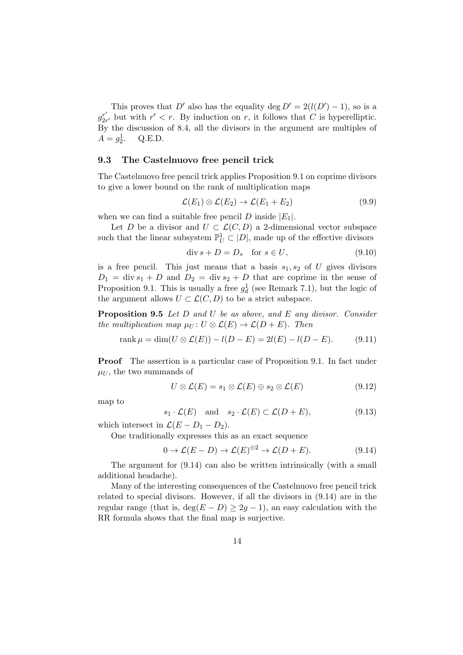This proves that *D'* also has the equality deg  $D' = 2(l(D') - 1)$ , so is a  $g^{r'}_{2r'}$  but with  $r' < r$ . By induction on *r*, it follows that *C* is hyperelliptic. By the discussion of 8.4, all the divisors in the argument are multiples of  $A = g_2^1$ . <sup>2</sup>. Q.E.D.

## 9.3 The Castelnuovo free pencil trick

The Castelnuovo free pencil trick applies Proposition 9.1 on coprime divisors to give a lower bound on the rank of multiplication maps

$$
\mathcal{L}(E_1) \otimes \mathcal{L}(E_2) \to \mathcal{L}(E_1 + E_2) \tag{9.9}
$$

when we can find a suitable free pencil *D* inside  $|E_1|$ .

Let *D* be a divisor and  $U \subset \mathcal{L}(C, D)$  a 2-dimensional vector subspace such that the linear subsystem  $\mathbb{P}^1_U \subset |D|$ , made up of the effective divisors

$$
\operatorname{div} s + D = D_s \quad \text{for } s \in U,\tag{9.10}
$$

is a free pencil. This just means that a basis  $s_1, s_2$  of  $U$  gives divisors  $D_1 = \text{div } s_1 + D$  and  $D_2 = \text{div } s_2 + D$  that are coprime in the sense of Proposition 9.1. This is usually a free  $g_d^1$  (see Remark 7.1), but the logic of the argument allows  $U \subset \mathcal{L}(C, D)$  to be a strict subspace.

Proposition 9.5 *Let D and U be as above, and E any divisor. Consider the multiplication map*  $\mu_U: U \otimes \mathcal{L}(E) \to \mathcal{L}(D+E)$ *. Then* 

rank 
$$
\mu = \dim(U \otimes \mathcal{L}(E)) - l(D - E) = 2l(E) - l(D - E).
$$
 (9.11)

Proof The assertion is a particular case of Proposition 9.1. In fact under  $\mu$ <sub>*U*</sub>, the two summands of

$$
U \otimes \mathcal{L}(E) = s_1 \otimes \mathcal{L}(E) \oplus s_2 \otimes \mathcal{L}(E) \tag{9.12}
$$

map to

$$
s_1 \cdot \mathcal{L}(E)
$$
 and  $s_2 \cdot \mathcal{L}(E) \subset \mathcal{L}(D + E)$ , (9.13)

which intersect in  $\mathcal{L}(E - D_1 - D_2)$ .

One traditionally expresses this as an exact sequence

$$
0 \to \mathcal{L}(E - D) \to \mathcal{L}(E)^{\oplus 2} \to \mathcal{L}(D + E). \tag{9.14}
$$

The argument for (9.14) can also be written intrinsically (with a small additional headache).

Many of the interesting consequences of the Castelnuovo free pencil trick related to special divisors. However, if all the divisors in (9.14) are in the regular range (that is,  $deg(E - D) \geq 2g - 1$ ), an easy calculation with the RR formula shows that the final map is surjective.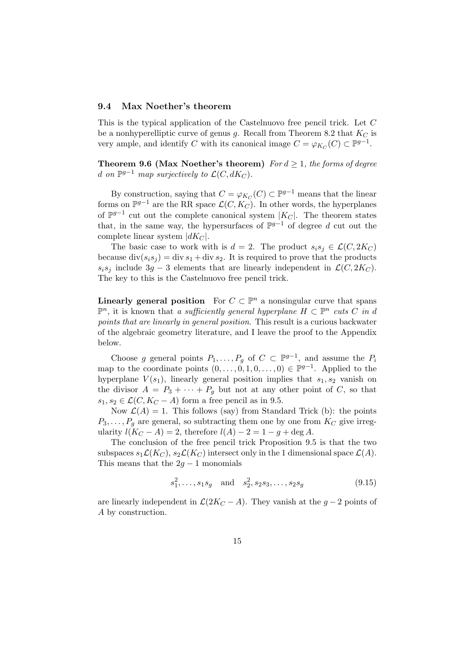#### 9.4 Max Noether's theorem

This is the typical application of the Castelnuovo free pencil trick. Let *C* be a nonhyperelliptic curve of genus *g*. Recall from Theorem 8.2 that *K<sup>C</sup>* is very ample, and identify *C* with its canonical image  $C = \varphi_{K_C}(C) \subset \mathbb{P}^{g-1}$ .

**Theorem 9.6 (Max Noether's theorem)** *For*  $d \geq 1$ *, the forms of degree d* on  $\mathbb{P}^{g-1}$  *map surjectively to*  $\mathcal{L}(C, dK_C)$ *.* 

By construction, saying that  $C = \varphi_{K_C}(C) \subset \mathbb{P}^{g-1}$  means that the linear forms on  $\mathbb{P}^{g-1}$  are the RR space  $\mathcal{L}(C, K_C)$ . In other words, the hyperplanes of  $\mathbb{P}^{g-1}$  cut out the complete canonical system  $|K_C|$ . The theorem states that, in the same way, the hypersurfaces of  $\mathbb{P}^{g-1}$  of degree d cut out the complete linear system *|dKC|*.

The basic case to work with is  $d = 2$ . The product  $s_i s_j \in \mathcal{L}(C, 2K_C)$ because  $\text{div}(s_i s_j) = \text{div} s_1 + \text{div} s_2$ . It is required to prove that the products  $s_i s_j$  include 3*g* – 3 elements that are linearly independent in  $\mathcal{L}(C, 2K_C)$ . The key to this is the Castelnuovo free pencil trick.

**Linearly general position** For  $C \subset \mathbb{P}^n$  a nonsingular curve that spans  $\mathbb{P}^n$ , it is known that *a sufficiently general hyperplane*  $H \subset \mathbb{P}^n$  *cuts C in d points that are linearly in general position*. This result is a curious backwater of the algebraic geometry literature, and I leave the proof to the Appendix below.

Choose *g* general points  $P_1, \ldots, P_g$  of  $C \subset \mathbb{P}^{g-1}$ , and assume the  $P_i$ map to the coordinate points  $(0, \ldots, 0, 1, 0, \ldots, 0) \in \mathbb{P}^{g-1}$ . Applied to the hyperplane  $V(s_1)$ , linearly general position implies that  $s_1, s_2$  vanish on the divisor  $A = P_3 + \cdots + P_q$  but not at any other point of *C*, so that  $s_1, s_2 \in \mathcal{L}(C, K_C - A)$  form a free pencil as in 9.5.

Now  $\mathcal{L}(A) = 1$ . This follows (say) from Standard Trick (b): the points  $P_3, \ldots, P_q$  are general, so subtracting them one by one from  $K_C$  give irregularity  $l(K_C - A) = 2$ , therefore  $l(A) - 2 = 1 - g + \deg A$ .

The conclusion of the free pencil trick Proposition 9.5 is that the two subspaces  $s_1\mathcal{L}(K_C)$ ,  $s_2\mathcal{L}(K_C)$  intersect only in the 1 dimensional space  $\mathcal{L}(A)$ . This means that the  $2g - 1$  monomials

$$
s_1^2, \ldots, s_1 s_g
$$
 and  $s_2^2, s_2 s_3, \ldots, s_2 s_g$  (9.15)

are linearly independent in  $\mathcal{L}(2K_C - A)$ . They vanish at the  $g - 2$  points of *A* by construction.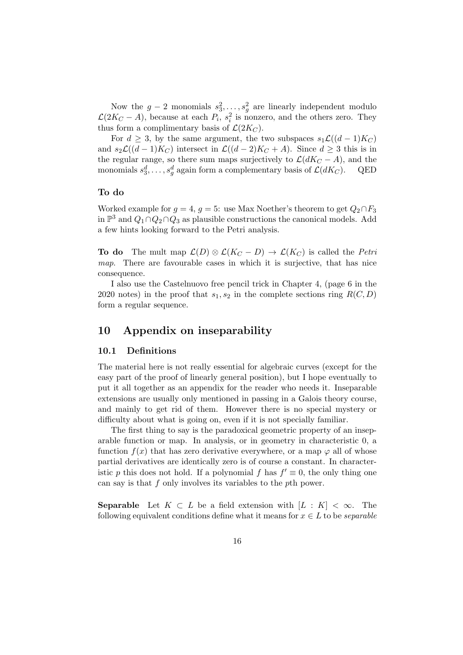Now the  $g-2$  monomials  $s_3^2, \ldots, s_g^2$  are linearly independent modulo  $\mathcal{L}(2K_C - A)$ , because at each  $P_i$ ,  $s_i^2$  is nonzero, and the others zero. They thus form a complimentary basis of  $\mathcal{L}(2K_C)$ .

For  $d \geq 3$ , by the same argument, the two subspaces  $s_1\mathcal{L}((d-1)K_C)$ and  $s_2\mathcal{L}((d-1)K_C)$  intersect in  $\mathcal{L}((d-2)K_C+A)$ . Since  $d\geq 3$  this is in the regular range, so there sum maps surjectively to  $\mathcal{L}(dK_C - A)$ , and the monomials  $s_3^d, \ldots, s_a^d$  again form a complementary basis of  $\mathcal{L}(dK_C)$ . QED monomials  $s_3^d, \ldots, s_g^d$  again form a complementary basis of  $\mathcal{L}(dK_C)$ . QED

# To do

Worked example for  $g = 4$ ,  $g = 5$ : use Max Noether's theorem to get  $Q_2 \cap F_3$ in  $\mathbb{P}^3$  and  $Q_1 \cap Q_2 \cap Q_3$  as plausible constructions the canonical models. Add a few hints looking forward to the Petri analysis.

**To do** The mult map  $\mathcal{L}(D) \otimes \mathcal{L}(K_C - D) \to \mathcal{L}(K_C)$  is called the *Petri map*. There are favourable cases in which it is surjective, that has nice consequence.

I also use the Castelnuovo free pencil trick in Chapter 4, (page 6 in the 2020 notes) in the proof that  $s_1, s_2$  in the complete sections ring  $R(C, D)$ form a regular sequence.

# 10 Appendix on inseparability

#### 10.1 Definitions

The material here is not really essential for algebraic curves (except for the easy part of the proof of linearly general position), but I hope eventually to put it all together as an appendix for the reader who needs it. Inseparable extensions are usually only mentioned in passing in a Galois theory course, and mainly to get rid of them. However there is no special mystery or difficulty about what is going on, even if it is not specially familiar.

The first thing to say is the paradoxical geometric property of an inseparable function or map. In analysis, or in geometry in characteristic 0, a function  $f(x)$  that has zero derivative everywhere, or a map  $\varphi$  all of whose partial derivatives are identically zero is of course a constant. In characteristic *p* this does not hold. If a polynomial *f* has  $f' \equiv 0$ , the only thing one can say is that *f* only involves its variables to the *p*th power.

**Separable** Let  $K \subset L$  be a field extension with  $[L : K] < \infty$ . The following equivalent conditions define what it means for  $x \in L$  to be *separable*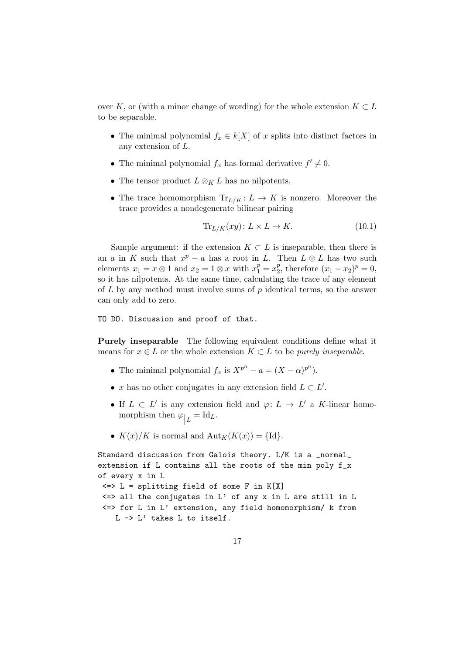over *K*, or (with a minor change of wording) for the whole extension  $K \subset L$ to be separable.

- The minimal polynomial  $f_x \in k[X]$  of *x* splits into distinct factors in any extension of *L*.
- The minimal polynomial  $f_x$  has formal derivative  $f' \neq 0$ .
- The tensor product  $L \otimes_K L$  has no nilpotents.
- The trace homomorphism  $\text{Tr}_{L/K}: L \to K$  is nonzero. Moreover the trace provides a nondegenerate bilinear pairing

$$
\text{Tr}_{L/K}(xy) \colon L \times L \to K. \tag{10.1}
$$

Sample argument: if the extension  $K \subset L$  is inseparable, then there is an *a* in *K* such that  $x^p - a$  has a root in *L*. Then  $L \otimes L$  has two such elements  $x_1 = x \otimes 1$  and  $x_2 = 1 \otimes x$  with  $x_1^p = x_2^p$ , therefore  $(x_1 - x_2)^p = 0$ , so it has nilpotents. At the same time, calculating the trace of any element of *L* by any method must involve sums of *p* identical terms, so the answer can only add to zero.

TO DO. Discussion and proof of that.

Purely inseparable The following equivalent conditions define what it means for  $x \in L$  or the whole extension  $K \subset L$  to be *purely inseparable*.

- The minimal polynomial  $f_x$  is  $X^{p^n} a = (X \alpha)^{p^n}$ .
- *x* has no other conjugates in any extension field  $L \subset L'$ .
- If  $L \subset L'$  is any extension field and  $\varphi: L \to L'$  a *K*-linear homomorphism then  $\varphi_{\big|L} = \mathrm{Id}_L$ .
- $K(x)/K$  is normal and  $\text{Aut}_K(K(x)) = \{\text{Id}\}.$

```
Standard discussion from Galois theory. L/K is a _normal_
extension if L contains all the roots of the min poly f_x
of every x in L
 \le > L = splitting field of some F in K[X]\le all the conjugates in L' of any x in L are still in L
 <=> for L in L' extension, any field homomorphism/ k from
    L -> L' takes L to itself.
```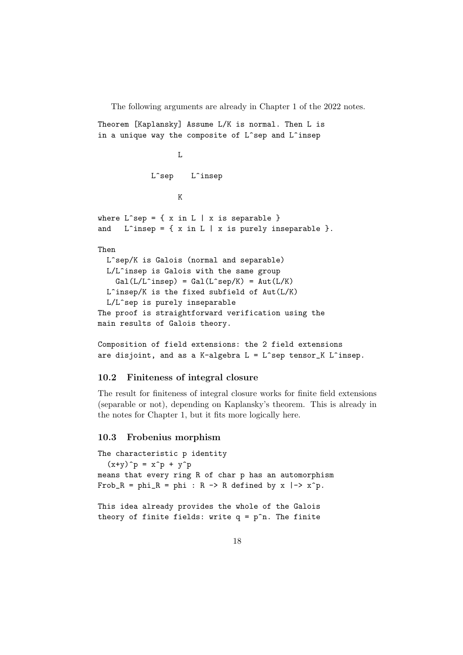The following arguments are already in Chapter 1 of the 2022 notes.

Theorem [Kaplansky] Assume L/K is normal. Then L is in a unique way the composite of L^sep and L^insep

```
L
              L<sup>osep</sup> L<sup>oinsep</sup>
                     K
where L<sup>-</sup>sep = { x in L | x is separable }
and L<sup>\hat{ }</sup>insep = { x in L | x is purely inseparable }.
Then
  L^sep/K is Galois (normal and separable)
  L/L^insep is Galois with the same group
    Gal(L/L^{\hat{}}\text{insep}) = Gal(L^{\hat{}}\text{sep}/K) = Aut(L/K)L^insep/K is the fixed subfield of Aut(L/K)L/L^sep is purely inseparable
The proof is straightforward verification using the
main results of Galois theory.
```

```
Composition of field extensions: the 2 field extensions
are disjoint, and as a K-algebra L = L^sep tensor_K L^insep.
```
## 10.2 Finiteness of integral closure

The result for finiteness of integral closure works for finite field extensions (separable or not), depending on Kaplansky's theorem. This is already in the notes for Chapter 1, but it fits more logically here.

# 10.3 Frobenius morphism

```
The characteristic p identity
  (x+y)^p = x^p + y^pmeans that every ring R of char p has an automorphism
Frob_R = phi_R = phi : R -> R defined by x |- > x^p.
```
This idea already provides the whole of the Galois theory of finite fields: write  $q = p^m$ . The finite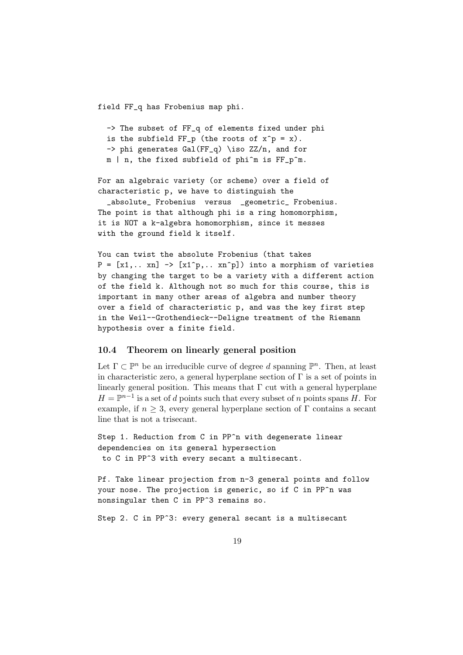field FF\_q has Frobenius map phi.

```
-> The subset of FF_q of elements fixed under phi
is the subfield FF_p (the roots of x^p = x).
-> phi generates Gal(FF_q) \iso ZZ/n, and for
m | n, the fixed subfield of phi^m is FF_p^m.
```
For an algebraic variety (or scheme) over a field of characteristic p, we have to distinguish the

\_absolute\_ Frobenius versus \_geometric\_ Frobenius. The point is that although phi is a ring homomorphism, it is NOT a k-algebra homomorphism, since it messes with the ground field k itself.

You can twist the absolute Frobenius (that takes  $P = [x1, \ldots xn] \rightarrow [x1\hat{p}, \ldots xn\hat{p}]$  into a morphism of varieties by changing the target to be a variety with a different action of the field k. Although not so much for this course, this is important in many other areas of algebra and number theory over a field of characteristic p, and was the key first step in the Weil--Grothendieck--Deligne treatment of the Riemann hypothesis over a finite field.

#### 10.4 Theorem on linearly general position

Let  $\Gamma \subset \mathbb{P}^n$  be an irreducible curve of degree *d* spanning  $\mathbb{P}^n$ . Then, at least in characteristic zero, a general hyperplane section of  $\Gamma$  is a set of points in linearly general position. This means that  $\Gamma$  cut with a general hyperplane  $H = \mathbb{P}^{n-1}$  is a set of *d* points such that every subset of *n* points spans *H*. For example, if  $n \geq 3$ , every general hyperplane section of  $\Gamma$  contains a secant line that is not a trisecant.

Step 1. Reduction from C in PP^n with degenerate linear dependencies on its general hypersection to C in PP^3 with every secant a multisecant.

Pf. Take linear projection from n-3 general points and follow your nose. The projection is generic, so if C in PP^n was nonsingular then C in PP^3 remains so.

Step 2. C in PP^3: every general secant is a multisecant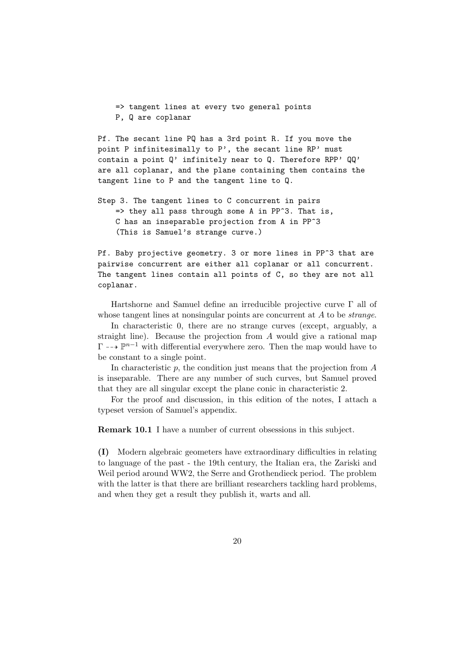=> tangent lines at every two general points P, Q are coplanar

Pf. The secant line PQ has a 3rd point R. If you move the point P infinitesimally to P', the secant line RP' must contain a point Q' infinitely near to Q. Therefore RPP' QQ' are all coplanar, and the plane containing them contains the tangent line to P and the tangent line to Q.

Step 3. The tangent lines to C concurrent in pairs  $\Rightarrow$  they all pass through some A in PP^3. That is, C has an inseparable projection from A in PP^3 (This is Samuel's strange curve.)

Pf. Baby projective geometry. 3 or more lines in PP^3 that are pairwise concurrent are either all coplanar or all concurrent. The tangent lines contain all points of C, so they are not all coplanar.

Hartshorne and Samuel define an irreducible projective curve  $\Gamma$  all of whose tangent lines at nonsingular points are concurrent at *A* to be *strange*.

In characteristic 0, there are no strange curves (except, arguably, a straight line). Because the projection from *A* would give a rational map  $\Gamma \dashrightarrow \mathbb{P}^{n-1}$  with differential everywhere zero. Then the map would have to be constant to a single point.

In characteristic *p*, the condition just means that the projection from *A* is inseparable. There are any number of such curves, but Samuel proved that they are all singular except the plane conic in characteristic 2.

For the proof and discussion, in this edition of the notes, I attach a typeset version of Samuel's appendix.

Remark 10.1 I have a number of current obsessions in this subject.

(I) Modern algebraic geometers have extraordinary difficulties in relating to language of the past - the 19th century, the Italian era, the Zariski and Weil period around WW2, the Serre and Grothendieck period. The problem with the latter is that there are brilliant researchers tackling hard problems, and when they get a result they publish it, warts and all.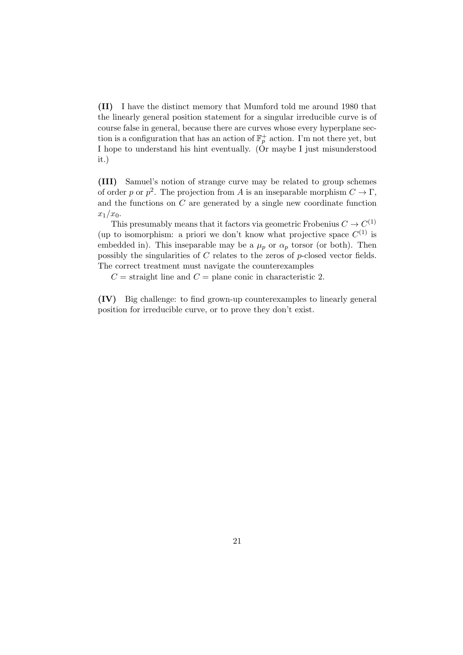(II) I have the distinct memory that Mumford told me around 1980 that the linearly general position statement for a singular irreducible curve is of course false in general, because there are curves whose every hyperplane section is a configuration that has an action of  $\mathbb{F}_p^+$  action. I'm not there yet, but I hope to understand his hint eventually. (Or maybe I just misunderstood it.)

(III) Samuel's notion of strange curve may be related to group schemes of order *p* or  $p^2$ . The projection from *A* is an inseparable morphism  $C \to \Gamma$ , and the functions on *C* are generated by a single new coordinate function *x*1*/x*0.

This presumably means that it factors via geometric Frobenius  $C \to C^{(1)}$ (up to isomorphism: a priori we don't know what projective space  $C^{(1)}$  is embedded in). This inseparable may be a  $\mu_p$  or  $\alpha_p$  torsor (or both). Then possibly the singularities of *C* relates to the zeros of *p*-closed vector fields. The correct treatment must navigate the counterexamples

 $C =$  straight line and  $C =$  plane conic in characteristic 2.

(IV) Big challenge: to find grown-up counterexamples to linearly general position for irreducible curve, or to prove they don't exist.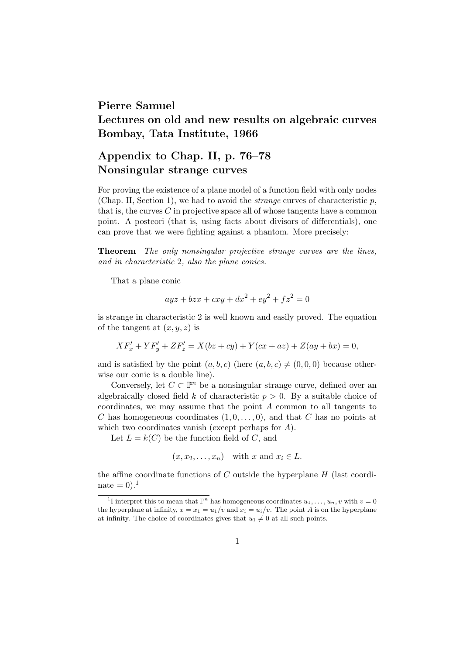# Pierre Samuel Lectures on old and new results on algebraic curves Bombay, Tata Institute, 1966

# Appendix to Chap. II, p. 76–78 Nonsingular strange curves

For proving the existence of a plane model of a function field with only nodes (Chap. II, Section 1), we had to avoid the *strange* curves of characteristic *p*, that is, the curves *C* in projective space all of whose tangents have a common point. A posteori (that is, using facts about divisors of differentials), one can prove that we were fighting against a phantom. More precisely:

Theorem *The only nonsingular projective strange curves are the lines, and in characteristic* 2*, also the plane conics.*

That a plane conic

$$
ayz + bzx + cxy + dx^2 + ey^2 + fz^2 = 0
$$

is strange in characteristic 2 is well known and easily proved. The equation of the tangent at  $(x, y, z)$  is

$$
XF'_{x} + YF'_{y} + ZF'_{z} = X(bz + cy) + Y(cx + az) + Z(ay + bx) = 0,
$$

and is satisfied by the point  $(a, b, c)$  (here  $(a, b, c) \neq (0, 0, 0)$  because otherwise our conic is a double line).

Conversely, let  $C \subset \mathbb{P}^n$  be a nonsingular strange curve, defined over an algebraically closed field *k* of characteristic  $p > 0$ . By a suitable choice of coordinates, we may assume that the point *A* common to all tangents to *C* has homogeneous coordinates  $(1, 0, \ldots, 0)$ , and that *C* has no points at which two coordinates vanish (except perhaps for *A*).

Let  $L = k(C)$  be the function field of *C*, and

$$
(x, x_2,...,x_n)
$$
 with x and  $x_i \in L$ .

the affine coordinate functions of  $C$  outside the hyperplane  $H$  (last coordinate  $= 0$ ).<sup>1</sup>

<sup>&</sup>lt;sup>1</sup>I interpret this to mean that  $\mathbb{P}^n$  has homogeneous coordinates  $u_1, \ldots, u_n, v$  with  $v = 0$ the hyperplane at infinity,  $x = x_1 = u_1/v$  and  $x_i = u_i/v$ . The point *A* is on the hyperplane at infinity. The choice of coordinates gives that  $u_1 \neq 0$  at all such points.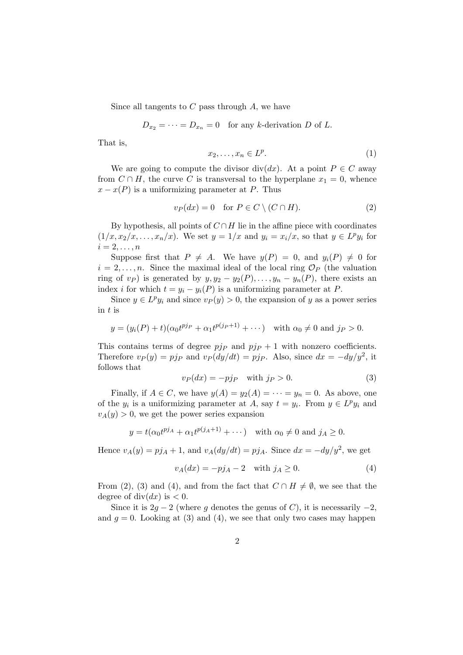Since all tangents to *C* pass through *A*, we have

$$
D_{x_2} = \cdots = D_{x_n} = 0
$$
 for any k-derivation D of L.

That is,

$$
x_2, \ldots, x_n \in L^p. \tag{1}
$$

We are going to compute the divisor div(*dx*). At a point  $P \in C$  away from  $C \cap H$ , the curve C is transversal to the hyperplane  $x_1 = 0$ , whence  $x - x(P)$  is a uniformizing parameter at *P*. Thus

$$
v_P(dx) = 0 \quad \text{for } P \in C \setminus (C \cap H). \tag{2}
$$

By hypothesis, all points of  $C \cap H$  lie in the affine piece with coordinates  $(1/x, x_2/x, \ldots, x_n/x)$ . We set  $y = 1/x$  and  $y_i = x_i/x$ , so that  $y \in L^p y_i$  for  $i = 2, \ldots, n$ 

Suppose first that  $P \neq A$ . We have  $y(P) = 0$ , and  $y_i(P) \neq 0$  for  $i = 2, \ldots, n$ . Since the maximal ideal of the local ring  $\mathcal{O}_P$  (the valuation ring of  $v_P$ ) is generated by  $y, y_2 - y_2(P), \ldots, y_n - y_n(P)$ , there exists an index *i* for which  $t = y_i - y_i(P)$  is a uniformizing parameter at *P*.

Since  $y \in L^p y_i$  and since  $v_P(y) > 0$ , the expansion of *y* as a power series in *t* is

$$
y = (y_i(P) + t)(\alpha_0 t^{pjp} + \alpha_1 t^{p(j_P + 1)} + \cdots) \quad \text{with } \alpha_0 \neq 0 \text{ and } j_P > 0.
$$

This contains terms of degree  $p/p$  and  $p/p + 1$  with nonzero coefficients. Therefore  $v_P(y) = pj_P$  and  $v_P(dy/dt) = pj_P$ . Also, since  $dx = -dy/y^2$ , it follows that

$$
v_P(dx) = -pj_P \quad \text{with } j_P > 0. \tag{3}
$$

Finally, if  $A \in C$ , we have  $y(A) = y_2(A) = \cdots = y_n = 0$ . As above, one of the  $y_i$  is a uniformizing parameter at *A*, say  $t = y_i$ . From  $y \in L^p y_i$  and  $v_A(y) > 0$ , we get the power series expansion

$$
y = t(\alpha_0 t^{p j_A} + \alpha_1 t^{p (j_A + 1)} + \cdots)
$$
 with  $\alpha_0 \neq 0$  and  $j_A \geq 0$ .

Hence  $v_A(y) = p j_A + 1$ , and  $v_A(dy/dt) = p j_A$ . Since  $dx = -dy/y^2$ , we get

$$
v_A(dx) = -pj_A - 2 \quad \text{with } j_A \ge 0. \tag{4}
$$

From (2), (3) and (4), and from the fact that  $C \cap H \neq \emptyset$ , we see that the degree of div $(dx)$  is  $\lt 0$ .

Since it is  $2g - 2$  (where *g* denotes the genus of *C*), it is necessarily  $-2$ , and  $g = 0$ . Looking at (3) and (4), we see that only two cases may happen